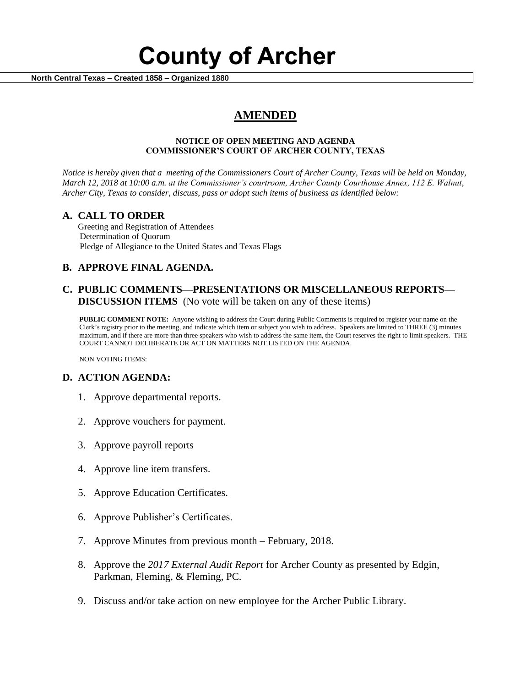# **County of Archer**

 **North Central Texas – Created 1858 – Organized 1880**

## **AMENDED**

#### **NOTICE OF OPEN MEETING AND AGENDA COMMISSIONER'S COURT OF ARCHER COUNTY, TEXAS**

*Notice is hereby given that a meeting of the Commissioners Court of Archer County, Texas will be held on Monday, March 12, 2018 at 10:00 a.m. at the Commissioner's courtroom, Archer County Courthouse Annex, 112 E. Walnut, Archer City, Texas to consider, discuss, pass or adopt such items of business as identified below:*

#### **A. CALL TO ORDER**

 Greeting and Registration of Attendees Determination of Quorum Pledge of Allegiance to the United States and Texas Flags

### **B. APPROVE FINAL AGENDA.**

#### **C. PUBLIC COMMENTS—PRESENTATIONS OR MISCELLANEOUS REPORTS— DISCUSSION ITEMS** (No vote will be taken on any of these items)

**PUBLIC COMMENT NOTE:** Anyone wishing to address the Court during Public Comments is required to register your name on the Clerk's registry prior to the meeting, and indicate which item or subject you wish to address. Speakers are limited to THREE (3) minutes maximum, and if there are more than three speakers who wish to address the same item, the Court reserves the right to limit speakers. THE COURT CANNOT DELIBERATE OR ACT ON MATTERS NOT LISTED ON THE AGENDA.

NON VOTING ITEMS:

#### **D. ACTION AGENDA:**

- 1. Approve departmental reports.
- 2. Approve vouchers for payment.
- 3. Approve payroll reports
- 4. Approve line item transfers.
- 5. Approve Education Certificates.
- 6. Approve Publisher's Certificates.
- 7. Approve Minutes from previous month February, 2018.
- 8. Approve the *2017 External Audit Report* for Archer County as presented by Edgin, Parkman, Fleming, & Fleming, PC.
- 9. Discuss and/or take action on new employee for the Archer Public Library.